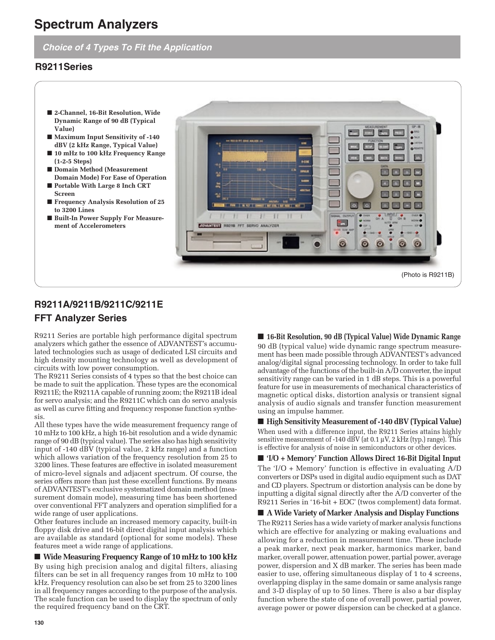# **Spectrum Analyzers**

# **Choice of 4 Types To Fit the Application**

# **R9211Series**

- 2-Channel, 16-Bit Resolution, Wide **Dynamic Range of 90 dB (Typical Value)**
- **Maximum Input Sensitivity of -140 dBV (2 kHz Range, Typical Value)**
- **10 mHz to 100 kHz Frequency Range (1-2-5 Steps)**
- **Domain Method (Measurement Domain Mode) For Ease of Operation**
- **Portable With Large 8 Inch CRT Screen**
- **Frequency Analysis Resolution of 25 to 3200 Lines**
- **Built-In Power Supply For Measurement of Accelerometers**



# **R9211A/9211B/9211C/9211E FFT Analyzer Series**

R9211 Series are portable high performance digital spectrum analyzers which gather the essence of ADVANTEST's accumulated technologies such as usage of dedicated LSI circuits and high density mounting technology as well as development of circuits with low power consumption.

The R9211 Series consists of 4 types so that the best choice can be made to suit the application. These types are the economical R9211E; the R9211A capable of running zoom; the R9211B ideal for servo analysis; and the R9211C which can do servo analysis as well as curve fitting and frequency response function synthesis.

All these types have the wide measurement frequency range of 10 mHz to 100 kHz, a high 16-bit resolution and a wide dynamic range of 90 dB (typical value). The series also has high sensitivity input of -140 dBV (typical value, 2 kHz range) and a function which allows variation of the frequency resolution from 25 to 3200 lines. These features are effective in isolated measurement of micro-level signals and adjacent spectrum. Of course, the series offers more than just these excellent functions. By means of ADVANTEST's exclusive systematized domain method (measurement domain mode), measuring time has been shortened over conventional FFT analyzers and operation simplified for a wide range of user applications.

Other features include an increased memory capacity, built-in floppy disk drive and 16-bit direct digital input analysis which are available as standard (optional for some models). These features meet a wide range of applications.

## ■ Wide Measuring Frequency Range of 10 mHz to 100 kHz

By using high precision analog and digital filters, aliasing filters can be set in all frequency ranges from 10 mHz to 100 kHz. Frequency resolution can also be set from 25 to 3200 lines in all frequency ranges according to the purpose of the analysis. The scale function can be used to display the spectrum of only the required frequency band on the CRT.

# ■ **16-Bit Resolution, 90 dB (Typical Value) Wide Dynamic Range**

90 dB (typical value) wide dynamic range spectrum measurement has been made possible through ADVANTEST's advanced analog/digital signal processing technology. In order to take full advantage of the functions of the built-in A/D converter, the input sensitivity range can be varied in 1 dB steps. This is a powerful feature for use in measurements of mechanical characteristics of magnetic optical disks, distortion analysis or transient signal analysis of audio signals and transfer function measurement using an impulse hammer.

■ **High Sensitivity Measurement of -140 dBV (Typical Value)** When used with a difference input, the R9211 Series attains highly sensitive measurement of -140 dBV (at 0.1  $\mu$ V, 2 kHz (typ.) range). This is effective for analysis of noise in semiconductors or other devices.

■ **'I/O** + Memory' Function Allows Direct 16-Bit Digital Input The 'I/O + Memory' function is effective in evaluating A/D converters or DSPs used in digital audio equipment such as DAT and CD players. Spectrum or distortion analysis can be done by inputting a digital signal directly after the A/D converter of the R9211 Series in '16-bit + EOC' (twos complement) data format.

■ **A Wide Variety of Marker Analysis and Display Functions** The R9211 Series has a wide variety of marker analysis functions which are effective for analyzing or making evaluations and allowing for a reduction in measurement time. These include a peak marker, next peak marker, harmonics marker, band marker, overall power, attenuation power, partial power, average power, dispersion and X dB marker. The series has been made easier to use, offering simultaneous display of 1 to 4 screens, overlapping display in the same domain or same analysis range and 3-D display of up to 50 lines. There is also a bar display function where the state of one of overall power, partial power, average power or power dispersion can be checked at a glance.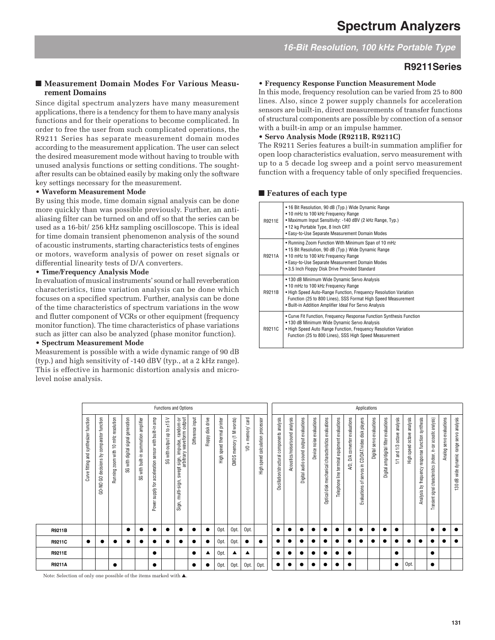**16-Bit Resolution, 100 kHz Portable Type**

# **R9211Series**

### ■ Measurement Domain Modes For Various Measu**rement Domains**

Since digital spectrum analyzers have many measurement applications, there is a tendency for them to have many analysis functions and for their operations to become complicated. In order to free the user from such complicated operations, the R9211 Series has separate measurement domain modes according to the measurement application. The user can select the desired measurement mode without having to trouble with unused analysis functions or setting conditions. The soughtafter results can be obtained easily by making only the software key settings necessary for the measurement.

#### • **Waveform Measurement Mode**

By using this mode, time domain signal analysis can be done more quickly than was possible previously. Further, an antialiasing filter can be turned on and off so that the series can be used as a 16-bit/ 256 kHz sampling oscilloscope. This is ideal for time domain transient phenomenon analysis of the sound of acoustic instruments, starting characteristics tests of engines or motors, waveform analysis of power on reset signals or differential linearity tests of D/A converters.

#### • **Time/Frequency Analysis Mode**

In evaluation of musical instruments' sound or hall reverberation characteristics, time variation analysis can be done which focuses on a specified spectrum. Further, analysis can be done of the time characteristics of spectrum variations in the wow and flutter component of VCRs or other equipment (frequency monitor function). The time characteristics of phase variations such as jitter can also be analyzed (phase monitor function).

## • **Spectrum Measurement Mode**

Measurement is possible with a wide dynamic range of 90 dB (typ.) and high sensitivity of -140 dBV (typ., at a 2 kHz range). This is effective in harmonic distortion analysis and microlevel noise analysis.

#### • **Frequency Response Function Measurement Mode**

In this mode, frequency resolution can be varied from 25 to 800 lines. Also, since 2 power supply channels for acceleration sensors are built-in, direct measurements of transfer functions of structural components are possible by connection of a sensor with a built-in amp or an impulse hammer.

#### • **Servo Analysis Mode (R9211B, R9211C)**

The R9211 Series features a built-in summation amplifier for open loop characteristics evaluation, servo measurement with up to a 5 decade log sweep and a point servo measurement function with a frequency table of only specified frequencies.

#### ■ **Features of each type**

| R9211E | • 16 Bit Resolution, 90 dB (Typ.) Wide Dynamic Range<br>• 10 mHz to 100 kHz Frequency Range<br>• Maximum Input Sensitivity: -140 dBV (2 kHz Range, Typ.)<br>• 12 kg Portable Type, 8 Inch CRT<br>• Easy-to-Use Separate Measurement Domain Modes                                   |
|--------|------------------------------------------------------------------------------------------------------------------------------------------------------------------------------------------------------------------------------------------------------------------------------------|
| R9211A | • Running Zoom Function With Minimum Span of 10 mHz<br>• 15 Bit Resolution, 90 dB (Typ.) Wide Dynamic Range<br>• 10 mHz to 100 kHz Frequency Range<br>· Easy-to-Use Separate Measurement Domain Modes<br>• 3.5 Inch Floppy Disk Drive Provided Standard                            |
| R9211B | • 130 dB Minimum Wide Dynamic Servo Analysis<br>• 10 mHz to 100 kHz Frequency Range<br>. High Speed Auto-Range Function, Frequency Resolution Variation<br>Function (25 to 800 Lines), SSS Format High Speed Measurement<br>. Built-in Addition Amplifier Ideal For Servo Analysis |
| R9211C | • Curve Fit Function, Frequency Response Function Synthesis Function<br>• 130 dB Minimum Wide Dynamic Servo Analysis<br>. High Speed Auto Range Function, Frequency Resolution Variation<br>Function (25 to 800 Lines), SSS High Speed Measurement                                 |

|        |                                           | Functions and Options                     |                                     |                                         |                                      |                                                                 |                            |                                                                                         |                  |                   |                               |                            |                               |                                                 |                                               | Applications                   |                                        |                          |                                                     |                                              |                                     |                                                               |                                  |                                           |                               |                            |                                                   |                                                                     |                          |                                          |
|--------|-------------------------------------------|-------------------------------------------|-------------------------------------|-----------------------------------------|--------------------------------------|-----------------------------------------------------------------|----------------------------|-----------------------------------------------------------------------------------------|------------------|-------------------|-------------------------------|----------------------------|-------------------------------|-------------------------------------------------|-----------------------------------------------|--------------------------------|----------------------------------------|--------------------------|-----------------------------------------------------|----------------------------------------------|-------------------------------------|---------------------------------------------------------------|----------------------------------|-------------------------------------------|-------------------------------|----------------------------|---------------------------------------------------|---------------------------------------------------------------------|--------------------------|------------------------------------------|
|        | synthesizer function<br>Curve fitting and | GO-NO GO decisions by comparator function | Running zoom with 10 mHz resolution | generation<br>signal<br>SG with digital | SG with built-in summation amplifier | sensor with built-in amp<br>acceleration<br>supply for<br>Power | SG with output up to ±15 V | : sign, impulse, random or<br>arbitrary waveform output<br>swept :<br>Sign, multi-sign, | Difference input | Floppy disk drive | speed thermal printer<br>tigh | memory (1 M words)<br>CMOS | + memory' card<br>$\subseteq$ | calculation processor<br>speed<br>$\frac{1}{2}$ | analysis<br>Oscillation/structural components | Acoustics/noise/sound analysis | Digital audio sound output evaluations | Device noise evaluations | Optical disk mechanical characteristics evaluations | elephone line terminal equipment evaluations | evaluations<br>converter<br>ă<br>Q) | disk players<br>CD/DAT/video<br>servos in<br>ち<br>Evaluations | evaluations<br>servo<br>Digital: | amp/digital filter evaluations<br>Digital | and 1/3 octave analysis<br>N. | High speed octave analysis | Analysis by frequency response function synthesis | Transient signal characteristics (indoor, in-car acoustic analysis) | Analog servo evaluations | 130 dB wide dynamic range servo analysis |
| R9211B |                                           |                                           |                                     |                                         |                                      |                                                                 |                            |                                                                                         |                  |                   | Opt.                          | Opt.                       | Opt.                          |                                                 |                                               |                                |                                        |                          |                                                     |                                              |                                     |                                                               |                                  |                                           |                               |                            |                                                   |                                                                     |                          |                                          |
| R9211C |                                           |                                           |                                     |                                         |                                      |                                                                 |                            | ٠                                                                                       |                  |                   | Opt                           | Opt.                       |                               |                                                 |                                               |                                | $\bullet$                              |                          |                                                     |                                              |                                     |                                                               |                                  |                                           |                               |                            |                                                   |                                                                     |                          |                                          |
| R9211E |                                           |                                           |                                     |                                         |                                      |                                                                 |                            |                                                                                         |                  |                   | Opt                           |                            | ▲                             |                                                 |                                               |                                |                                        |                          |                                                     |                                              |                                     |                                                               |                                  |                                           |                               |                            |                                                   | e                                                                   |                          |                                          |
| R9211A |                                           |                                           |                                     |                                         |                                      |                                                                 |                            |                                                                                         |                  |                   | Opt.                          | Opt.                       | Opt.                          | Opt.                                            |                                               |                                |                                        |                          |                                                     |                                              |                                     |                                                               |                                  |                                           |                               | Opt.                       |                                                   |                                                                     |                          |                                          |

Note: Selection of only one possible of the items marked with ▲.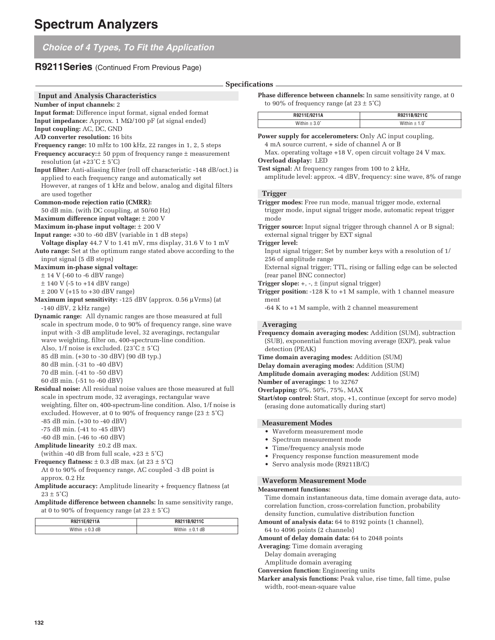|  | <b>Choice of 4 Types, To Fit the Application</b> |
|--|--------------------------------------------------|
|--|--------------------------------------------------|

# **R9211Series** (Continued From Previous Page)

|                                                                                                                                                                                                                                         | <b>Specifications</b>                                                                                                                                             |
|-----------------------------------------------------------------------------------------------------------------------------------------------------------------------------------------------------------------------------------------|-------------------------------------------------------------------------------------------------------------------------------------------------------------------|
| <b>Input and Analysis Characteristics</b><br>Number of input channels: 2                                                                                                                                                                | Phase difference between channels: In same<br>to 90% of frequency range (at $23 \pm 5^{\circ}$ C)                                                                 |
| Input format: Difference input format, signal ended format                                                                                                                                                                              | R9211E/9211A                                                                                                                                                      |
| <b>Input impedance:</b> Approx. 1 $\text{M}\Omega/100$ pF (at signal ended)                                                                                                                                                             | Within $\pm 3.0^\circ$                                                                                                                                            |
| Input coupling: AC, DC, GND                                                                                                                                                                                                             |                                                                                                                                                                   |
| A/D converter resolution: 16 bits<br><b>Frequency range:</b> 10 mHz to 100 kHz, 22 ranges in 1, 2, 5 steps<br><b>Frequency accuracy:</b> $\pm$ 50 ppm of frequency range $\pm$ measurement<br>resolution (at $+23^{\circ}$ C $\pm$ 5°C) | <b>Power supply for accelerometers:</b> Only AC<br>4 mA source current, + side of channel A<br>Max. operating voltage +18 V, open circui<br>Overload display: LED |
| Input filter: Anti-aliasing filter (roll off characteristic -148 dB/oct.) is<br>applied to each frequency range and automatically set<br>However, at ranges of 1 kHz and below, analog and digital filters                              | <b>Test signal:</b> At frequency ranges from 100 to<br>amplitude level: approx. -4 dBV, frequency                                                                 |
| are used together                                                                                                                                                                                                                       | <b>Trigger</b>                                                                                                                                                    |
| Common-mode rejection ratio (CMRR):                                                                                                                                                                                                     | Trigger modes: Free run mode, manual trigg                                                                                                                        |
| 50 dB min. (with DC coupling, at 50/60 Hz)                                                                                                                                                                                              | trigger mode, input signal trigger mode, a                                                                                                                        |
| Maximum difference input voltage: $\pm$ 200 V                                                                                                                                                                                           | mode                                                                                                                                                              |
| Maximum in-phase input voltage: $\pm$ 200 V                                                                                                                                                                                             | <b>Trigger source:</b> Input signal trigger through                                                                                                               |
| Input range: +30 to -60 dBV (variable in 1 dB steps)                                                                                                                                                                                    | external signal trigger by EXT signal                                                                                                                             |
| <b>Voltage display</b> 44.7 V to 1.41 mV, rms display, 31.6 V to 1 mV                                                                                                                                                                   | Trigger level:                                                                                                                                                    |
| Auto range: Set at the optimum range stated above according to the                                                                                                                                                                      | Input signal trigger; Set by number keys v                                                                                                                        |
| input signal (5 dB steps)                                                                                                                                                                                                               | 256 of amplitude range                                                                                                                                            |
| Maximum in-phase signal voltage:                                                                                                                                                                                                        | External signal trigger; TTL, rising or falli                                                                                                                     |
| $\pm$ 14 V (-60 to -6 dBV range)                                                                                                                                                                                                        | (rear panel BNC connector)                                                                                                                                        |
| $\pm$ 140 V (-5 to +14 dBV range)                                                                                                                                                                                                       | <b>Trigger slope:</b> $+$ , $-$ , $\pm$ (input signal trigger)                                                                                                    |
| $\pm$ 200 V (+15 to +30 dBV range)                                                                                                                                                                                                      | <b>Trigger position:</b> -128 K to $+1$ M sample, w.<br>ment                                                                                                      |
| Maximum input sensitivity: $-125$ dBV (approx. 0.56 $\mu$ Vrms) (at<br>$-140$ dBV, 2 kHz range)                                                                                                                                         | $-64$ K to $+1$ M sample, with 2 channel me                                                                                                                       |
| <b>Dynamic range:</b> All dynamic ranges are those measured at full                                                                                                                                                                     |                                                                                                                                                                   |
| scale in spectrum mode, 0 to 90% of frequency range, sine wave                                                                                                                                                                          | <b>Averaging</b>                                                                                                                                                  |
| input with -3 dB amplitude level, 32 averagings, rectangular                                                                                                                                                                            | Frequency domain averaging modes: Addit                                                                                                                           |
| wave weighting, filter on, 400-spectrum-line condition.<br>Also, $1/f$ noise is excluded. $(23^{\circ}C \pm 5^{\circ}C)$                                                                                                                | (SUB), exponential function moving avera<br>detection (PEAK)                                                                                                      |
| 85 dB min. (+30 to -30 dBV) (90 dB typ.)                                                                                                                                                                                                | Time domain averaging modes: Addition (S                                                                                                                          |
| 80 dB min. (-31 to -40 dBV)                                                                                                                                                                                                             | Delay domain averaging modes: Addition (                                                                                                                          |
| 70 dB min. (-41 to -50 dBV)                                                                                                                                                                                                             | Amplitude domain averaging modes: Addit                                                                                                                           |
| 60 dB min. (-51 to -60 dBV)                                                                                                                                                                                                             | Number of averagings: 1 to 32767                                                                                                                                  |
| <b>Residual noise:</b> All residual noise values are those measured at full                                                                                                                                                             | Overlapping: 0%, 50%, 75%, MAX                                                                                                                                    |
| scale in spectrum mode, 32 averagings, rectangular wave<br>weighting, filter on, 400-spectrum-line condition. Also, 1/f noise is<br>excluded. However, at 0 to 90% of frequency range $(23 \pm 5^{\circ}C)$                             | Start/stop control: Start, stop, +1, continue<br>(erasing done automatically during start)                                                                        |
| $-85$ dB min. $(+30$ to $-40$ dBV)                                                                                                                                                                                                      | <b>Measurement Modes</b>                                                                                                                                          |
| $-75$ dB min. $(-41$ to $-45$ dBV)                                                                                                                                                                                                      | • Waveform measurement mode                                                                                                                                       |
| $-60$ dB min. $(-46$ to $-60$ dBV)                                                                                                                                                                                                      | • Spectrum measurement mode                                                                                                                                       |
| Amplitude linearity $\pm 0.2$ dB max.                                                                                                                                                                                                   | • Time/frequency analysis mode                                                                                                                                    |
| (within -40 dB from full scale, $+23 \pm 5^{\circ}$ C)                                                                                                                                                                                  | • Frequency response function measurer                                                                                                                            |
| <b>Frequency flatness:</b> $\pm$ 0.3 dB max. (at 23 $\pm$ 5°C)                                                                                                                                                                          | • Servo analysis mode (R9211B/C)                                                                                                                                  |
| At 0 to 90% of frequency range, AC coupled -3 dB point is                                                                                                                                                                               |                                                                                                                                                                   |
| approx. $0.2$ Hz                                                                                                                                                                                                                        | <b>Waveform Measurement Mode</b>                                                                                                                                  |
| Amplitude accuracy: Amplitude linearity + frequency flatness (at                                                                                                                                                                        | <b>Measurement functions:</b>                                                                                                                                     |
| $23 \pm 5^{\circ}$ C)                                                                                                                                                                                                                   | Timo domain instantanoque data, timo do                                                                                                                           |

**Amplitude difference between channels:** In same sensitivity range, at 0 to 90% of frequency range (at  $23 \pm 5^{\circ}$ C)

| <b>DOO44FMO448</b> | 100410              |  |  |  |
|--------------------|---------------------|--|--|--|
| .__∟., ອ∠ IIA      | <b>R9211B/9211G</b> |  |  |  |
|                    |                     |  |  |  |

**Phase is described** between **c** change, at 0

| R9211E/9211A | R9211B/9211C |
|--------------|--------------|
|              |              |

input coupling, 4 mA source current, + side of channel A or B

it voltage 24 V max.

#### **Test signal:** At frequency ranges from 100 to 2 kHz,

y: sine wave, 8% of range

**Trigger modes:** Free run mode, manual trigger mode, external utomatic repeat trigger

channel A or B signal;

vith a resolution of 1/

ing edge can be selected

ith 1 channel measure

asurement

**Fragmency domain areas** ion (SUM), subtraction age (EXP), peak value

**Time domain averaging modes:** Addition (SUM)

SUM)

 $\text{tion (SUM)}$ 

 $\left(\text{except for servo mode}\right)$ 

nent mode

domain instantaneous data, time domain average data, autocorrelation function, cross-correlation function, probability density function, cumulative distribution function

**Amount of analysis data:** 64 to 8192 points (1 channel),

64 to 4096 points (2 channels)

**Amount of delay domain data:** 64 to 2048 points

**Averaging:** Time domain averaging

Delay domain averaging

Amplitude domain averaging

**Conversion function:** Engineering units

**Marker analysis functions:** Peak value, rise time, fall time, pulse width, root-mean-square value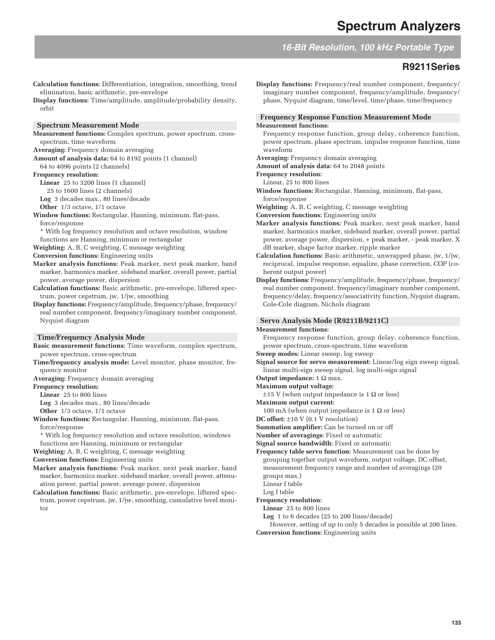**16-Bit Resolution, 100 kHz Portable Type**

## **R9211Series**

**Calculation functions:** Differentiation, integration, smoothing, trend elimination, basic arithmetic, pre-envelope

**Display functions:** Time/amplitude, amplitude/probability density, orbit

#### **Spectrum Measurement Mode**

**Measurement functions:** Complex spectrum, power spectrum, crossspectrum, time waveform

**Averaging:** Frequency domain averaging

**Amount of analysis data:** 64 to 8192 points (1 channel) 64 to 4096 points (2 channels)

**Frequency resolution:**

**Linear** 25 to 3200 lines (1 channel)

25 to 1600 lines (2 channels)

**Log** 3 decades max., 80 lines/decade

**Other** 1/3 octave, 1/1 octave

**Window functions:** Rectangular, Hanning, minimum, flat-pass, force/response

\* With log frequency resolution and octave resolution, window functions are Hanning, minimum or rectangular

**Weighting:** A, B, C weighting, C message weighting

**Conversion functions:** Engineering units

- **Marker analysis functions:** Peak marker, next peak marker, band marker, harmonics marker, sideband marker, overall power, partial power, average power, dispersion
- **Calculation functions:** Basic arithmetic, pre-envelope, liftered spectrum, power cepstrum, jw, 1/jw, smoothing

**Display functions:** Frequency/amplitude, frequency/phase, frequency/ real number component, frequency/imaginary number component, Nyquist diagram

#### **Time/Frequency Analysis Mode**

**Basic measurement functions:** Time waveform, complex spectrum, power spectrum, cross-spectrum

- **Time/frequency analysis mode:** Level monitor, phase monitor, frequency monitor
- **Averaging:** Frequency domain averaging

**Frequency resolution:**

**Linear** 25 to 800 lines

**Log** 3 decades max., 80 lines/decade

**Other** 1/3 octave, 1/1 octave

- **Window functions:** Rectangular, Hanning, minimum, flat-pass, force/response
	- \* With log frequency resolution and octave resolution, windows functions are Hanning, minimum or rectangular

**Weighting:** A, B, C weighting, C message weighting

**Conversion functions:** Engineering units

- **Marker analysis functions:** Peak marker, next peak marker, band marker, harmonics marker, sideband marker, overall power, attenuation power, partial power, average power, dispersion
- **Calculation functions:** Basic arithmetic, pre-envelope, liftered spectrum, power cepstrum, jw, 1/jw, smoothing, cumulative level monitor

**Display functions:** Frequency/real number component, frequency/ imaginary number component, frequency/amplitude, frequency/ phase, Nyquist diagram, time/level, time/phase, time/frequency

#### **Frequency Response Function Measurement Mode Measurement functions:**

Frequency response function, group delay, coherence function, power spectrum, phase spectrum, impulse response function, time

waveform **Averaging:** Frequency domain averaging

**Amount of analysis data:** 64 to 2048 points

**Frequency resolution:**

Linear, 25 to 800 lines

- **Window functions:** Rectangular, Hanning, minimum, flat-pass, force/response
- **Weighting:** A, B, C weighting, C message weighting

**Conversion functions:** Engineering units

- **Marker analysis functions:** Peak marker, next peak marker, band marker, harmonics marker, sideband marker, overall power, partial power, average power, dispersion, + peak marker, - peak marker, X dB marker, shape factor marker, ripple marker
- **Calculation functions:** Basic arithmetic, unwrapped phase, jw, 1/jw, reciprocal, impulse response, equalize, phase correction, COP (coherent output power)
- **Display functions:** Frequency/amplitude, frequency/phase, frequency/ real number component, frequency/imaginary number component, frequency/delay, frequency/associativity function, Nyquist diagram, Cole-Cole diagram, Nichols diagram

## **Servo Analysis Mode (R9211B/9211C)**

#### **Measurement functions:**

Frequency response function, group delay, coherence function, power spectrum, cross-spectrum, time waveform

**Sweep modes:** Linear sweep, log sweep

**Signal source for servo measurement:** Linear/log sign sweep signal, linear multi-sign sweep signal, log multi-sign signal

**Output impedance:** 1 Ω max.

**Maximum output voltage:**

- $±15$  V (when output impedance is 1 Ω or less)
- **Maximum output current:**

100 mA (when output impedance is 1  $\Omega$  or less)

**DC offset:** ±10 V (0.1 V resolution)

**Summation amplifier:** Can be turned on or off

**Number of averagings:** Fixed or automatic

**Signal source bandwidth:** Fixed or automatic

**Frequency table servo function:** Measurement can be done by grouping together output waveform, output voltage, DC offset, measurement frequency range and number of averagings (20 groups max.)

Linear f table

Log f table

#### **Frequency resolution:**

**Linear** 25 to 800 lines

**Log** 1 to 6 decades (25 to 200 lines/decade)

However, setting of up to only 5 decades is possible at 200 lines. **Conversion functions:** Engineering units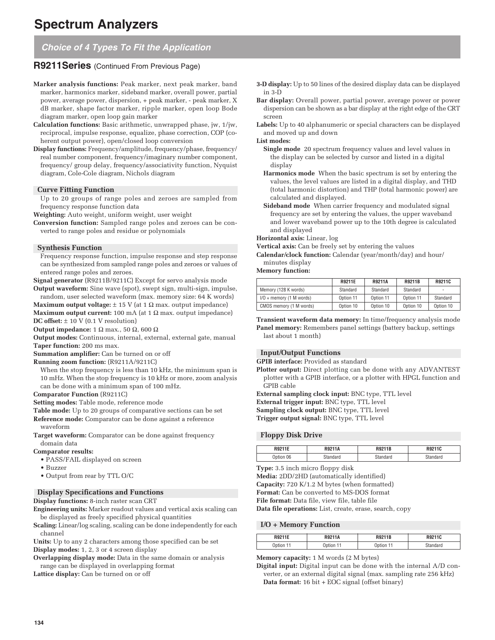# **Spectrum Analyzers**

# **Choice of 4 Types To Fit the Application**

# **R9211Series** (Continued From Previous Page)

- **Marker analysis functions:** Peak marker, next peak marker, band marker, harmonics marker, sideband marker, overall power, partial power, average power, dispersion, + peak marker, - peak marker, X dB marker, shape factor marker, ripple marker, open loop Bode diagram marker, open loop gain marker
- **Calculation functions:** Basic arithmetic, unwrapped phase, jw, 1/jw, reciprocal, impulse response, equalize, phase correction, COP (coherent output power), open/closed loop conversion
- **Display functions:** Frequency/amplitude, frequency/phase, frequency/ real number component, frequency/imaginary number component, frequency/ group delay, frequency/associativity function, Nyquist diagram, Cole-Cole diagram, Nichols diagram

## **Curve Fitting Function**

Up to 20 groups of range poles and zeroes are sampled from frequency response function data

**Weighting:** Auto weight, uniform weight, user weight

**Conversion function:** Sampled range poles and zeroes can be converted to range poles and residue or polynomials

#### **Synthesis Function**

Frequency response function, impulse response and step response can be synthesized from sampled range poles and zeroes or values of entered range poles and zeroes.

**Signal generator** (R9211B/9211C) Except for servo analysis mode **Output waveform:** Sine wave (spot), swept sign, multi-sign, impulse,

random, user selected waveform (max. memory size: 64 K words)

**Maximum output voltage:**  $\pm$  15 V (at 1  $\Omega$  max. output impedance) **Maximum output current:** 100 mA (at 1 Ω max. output impedance) **DC offset:**  $\pm$  10 V (0.1 V resolution)

**Output impedance:** 1 Ω max., 50 Ω, 600 Ω

**Output modes:** Continuous, internal, external, external gate, manual

**Taper function:** 200 ms max.

**Summation amplifier:** Can be turned on or off

**Running zoom function:** (R9211A/9211C)

When the stop frequency is less than 10 kHz, the minimum span is 10 mHz. When the stop frequency is 10 kHz or more, zoom analysis can be done with a minimum span of 100 mHz.

**Comparator Function** (R9211C)

**Setting modes:** Table mode, reference mode

**Table mode:** Up to 20 groups of comparative sections can be set

**Reference mode:** Comparator can be done against a reference waveform

**Target waveform:** Comparator can be done against frequency domain data

- **Comparator results:**
	- PASS/FAIL displayed on screen
	- Buzzer
	- Output from rear by TTL O/C

#### **Display Specifications and Functions**

**Display functions:** 8-inch raster scan CRT

**Engineering units:** Marker readout values and vertical axis scaling can be displayed as freely specified physical quantities

**Scaling:** Linear/log scaling, scaling can be done independently for each channel

**Units:** Up to any 2 characters among those specified can be set **Display modes:** 1, 2, 3 or 4 screen display

**Overlapping display mode:** Data in the same domain or analysis

range can be displayed in overlapping format

Lattice display: Can be turned on or off

- **3-D display:** Up to 50 lines of the desired display data can be displayed in 3-D
- **Bar display:** Overall power, partial power, average power or power dispersion can be shown as a bar display at the right edge of the CRT screen
- **Labels:** Up to 40 alphanumeric or special characters can be displayed and moved up and down

**List modes:**

**Single mode** 20 spectrum frequency values and level values in the display can be selected by cursor and listed in a digital display

- **Harmonics mode** When the basic spectrum is set by entering the values, the level values are listed in a digital display, and THD (total harmonic distortion) and THP (total harmonic power) are calculated and displayed.
- **Sideband mode** When carrier frequency and modulated signal frequency are set by entering the values, the upper waveband and lower waveband power up to the 10th degree is calculated and displayed

**Horizontal axis:** Linear, log

**Vertical axis:** Can be freely set by entering the values

**Calendar/clock function:** Calendar (year/month/day) and hour/ minutes display

#### **Memory function:**

|                            | <b>R9211E</b> | <b>R9211A</b> | <b>R9211B</b> | R9211C    |
|----------------------------|---------------|---------------|---------------|-----------|
| Memory (128 K words)       | Standard      | Standard      | Standard      | ٠         |
| $I/O + memory (1 M words)$ | Option 11     | Option 11     | Option 11     | Standard  |
| CMOS memory (1 M words)    | Option 10     | Option 10     | Option 10     | Option 10 |

**Transient waveform data memory:** In time/frequency analysis mode **Panel memory:** Remembers panel settings (battery backup, settings last about 1 month)

#### **Input/Output Functions**

**GPIB interface:** Provided as standard

**Plotter output:** Direct plotting can be done with any ADVANTEST plotter with a GPIB interface, or a plotter with HPGL function and GPIB cable

**External sampling clock input:** BNC type, TTL level **External trigger input:** BNC type, TTL level **Sampling clock output:** BNC type, TTL level **Trigger output signal:** BNC type, TTL level

#### **Floppy Disk Drive**

| R9211E | <b>DO0448</b> | R9211B | <b>DOO440</b> |
|--------|---------------|--------|---------------|
| በ6     |               | .      | n v.e         |

**Type:** 3.5 inch micro floppy disk

**Media:** 2DD/2HD (automatically identified) **Capacity:** 720 K/1.2 M bytes (when formatted)

**Format:** Can be converted to MS-DOS format

**File format:** Data file, view file, table file

**Data file operations:** List, create, erase, search, copy

#### **I/O + Memory Function**

| R9211E | <b>R9211A</b>         | R9211B | <b>DO9440</b><br><b>RASIIP</b> |
|--------|-----------------------|--------|--------------------------------|
| Option | htion<br><b>DUUIL</b> | ווטווט | ---                            |

**Memory capacity:** 1 M words (2 M bytes)

**Digital input:** Digital input can be done with the internal A/D converter, or an external digital signal (max. sampling rate 256 kHz) **Data format:** 16 bit + EOC signal (offset binary)